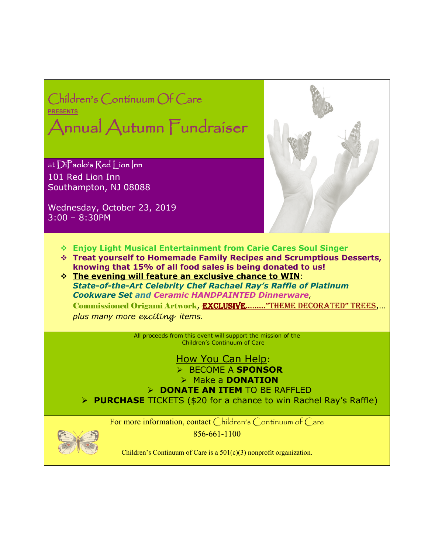

Children's Continuum of Care is a 501(c)(3) nonprofit organization.